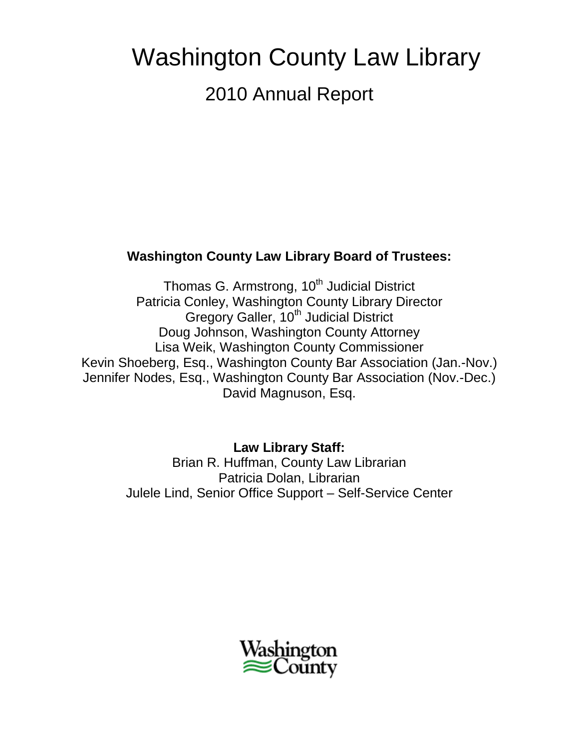# Washington County Law Library 2010 Annual Report

# **Washington County Law Library Board of Trustees:**

Thomas G. Armstrong, 10<sup>th</sup> Judicial District Patricia Conley, Washington County Library Director Gregory Galler, 10<sup>th</sup> Judicial District Doug Johnson, Washington County Attorney Lisa Weik, Washington County Commissioner Kevin Shoeberg, Esq., Washington County Bar Association (Jan.-Nov.) Jennifer Nodes, Esq., Washington County Bar Association (Nov.-Dec.) David Magnuson, Esq.

> **Law Library Staff:** Brian R. Huffman, County Law Librarian Patricia Dolan, Librarian Julele Lind, Senior Office Support – Self-Service Center

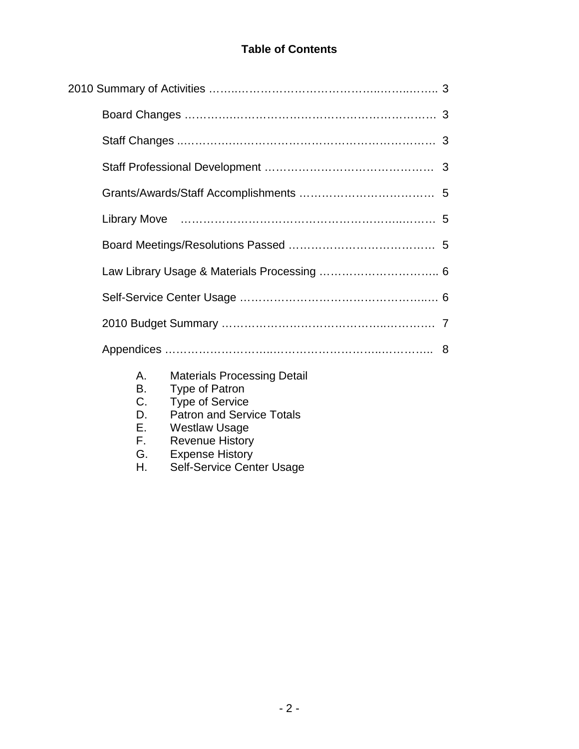# **Table of Contents**

| 8                                                                                                                                                                                                                                                               |  |
|-----------------------------------------------------------------------------------------------------------------------------------------------------------------------------------------------------------------------------------------------------------------|--|
| <b>Materials Processing Detail</b><br>А.<br><b>B.</b><br><b>Type of Patron</b><br>$C_{\cdot}$<br><b>Type of Service</b><br><b>Patron and Service Totals</b><br>D.<br>Е.<br><b>Westlaw Usage</b><br>Е.<br><b>Revenue History</b><br><b>Expense History</b><br>G. |  |

H. Self-Service Center Usage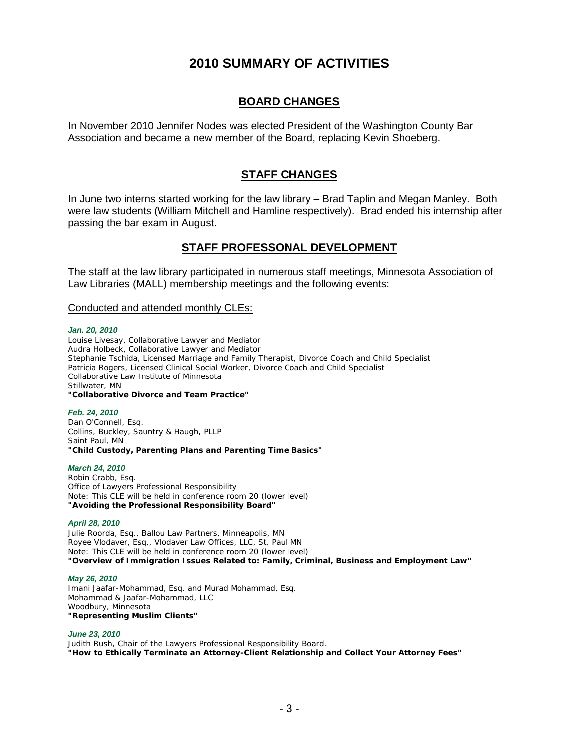# **2010 SUMMARY OF ACTIVITIES**

### **BOARD CHANGES**

In November 2010 Jennifer Nodes was elected President of the Washington County Bar Association and became a new member of the Board, replacing Kevin Shoeberg.

### **STAFF CHANGES**

In June two interns started working for the law library – Brad Taplin and Megan Manley. Both were law students (William Mitchell and Hamline respectively). Brad ended his internship after passing the bar exam in August.

### **STAFF PROFESSONAL DEVELOPMENT**

The staff at the law library participated in numerous staff meetings, Minnesota Association of Law Libraries (MALL) membership meetings and the following events:

### Conducted and attended monthly CLEs:

#### *Jan. 20, 2010*

Louise Livesay, Collaborative Lawyer and Mediator Audra Holbeck, Collaborative Lawyer and Mediator Stephanie Tschida, Licensed Marriage and Family Therapist, Divorce Coach and Child Specialist Patricia Rogers, Licensed Clinical Social Worker, Divorce Coach and Child Specialist Collaborative Law Institute of Minnesota Stillwater, MN **"Collaborative Divorce and Team Practice"**

#### *Feb. 24, 2010*

Dan O'Connell, Esq. Collins, Buckley, Sauntry & Haugh, PLLP Saint Paul, MN **"Child Custody, Parenting Plans and Parenting Time Basics"**

#### *March 24, 2010*

Robin Crabb, Esq. Office of Lawyers Professional Responsibility Note: This CLE will be held in conference room 20 (lower level) **"Avoiding the Professional Responsibility Board"**

#### *April 28, 2010*

Julie Roorda, Esq., Ballou Law Partners, Minneapolis, MN Royee Vlodaver, Esq., Vlodaver Law Offices, LLC, St. Paul MN Note: This CLE will be held in conference room 20 (lower level) **"Overview of Immigration Issues Related to: Family, Criminal, Business and Employment Law"**

#### *May 26, 2010*

Imani Jaafar-Mohammad, Esq. and Murad Mohammad, Esq. Mohammad & Jaafar-Mohammad, LLC Woodbury, Minnesota **"Representing Muslim Clients"**

#### *June 23, 2010*

Judith Rush, Chair of the Lawyers Professional Responsibility Board. **"How to Ethically Terminate an Attorney-Client Relationship and Collect Your Attorney Fees"**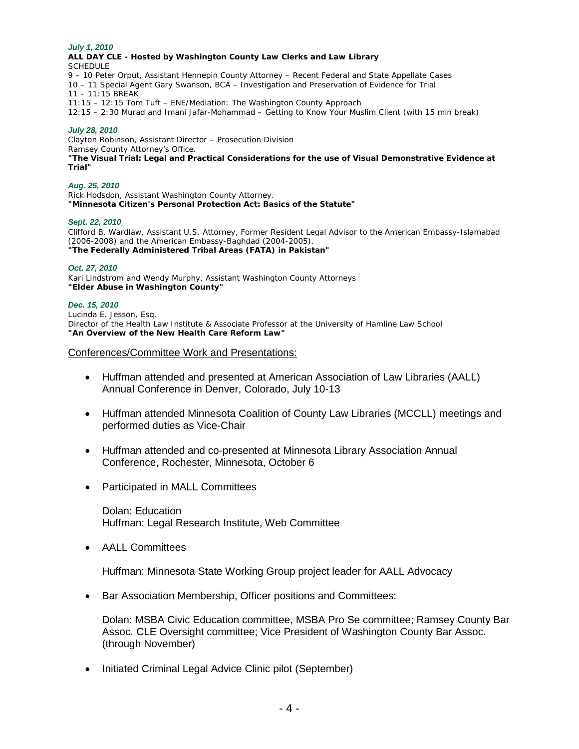#### *July 1, 2010*

**ALL DAY CLE - Hosted by Washington County Law Clerks and Law Library SCHEDULE** 9 – 10 Peter Orput, Assistant Hennepin County Attorney – Recent Federal and State Appellate Cases 10 – 11 Special Agent Gary Swanson, BCA – Investigation and Preservation of Evidence for Trial 11 – 11:15 BREAK 11:15 – 12:15 Tom Tuft – ENE/Mediation: The Washington County Approach 12:15 – 2:30 Murad and Imani Jafar-Mohammad – Getting to Know Your Muslim Client (with 15 min break)

#### *July 28, 2010*

Clayton Robinson, Assistant Director – Prosecution Division Ramsey County Attorney's Office. **"The Visual Trial: Legal and Practical Considerations for the use of Visual Demonstrative Evidence at Trial"**

#### *Aug. 25, 2010*

Rick Hodsdon, Assistant Washington County Attorney. **"Minnesota Citizen's Personal Protection Act: Basics of the Statute"**

#### *Sept. 22, 2010*

Clifford B. Wardlaw, Assistant U.S. Attorney, Former Resident Legal Advisor to the American Embassy-Islamabad (2006-2008) and the American Embassy-Baghdad (2004-2005). **"The Federally Administered Tribal Areas (FATA) in Pakistan"**

#### *Oct. 27, 2010*

Kari Lindstrom and Wendy Murphy, Assistant Washington County Attorneys **"Elder Abuse in Washington County"**

#### *Dec. 15, 2010*

Lucinda E. Jesson, Esq. Director of the Health Law Institute & Associate Professor at the University of Hamline Law School **"An Overview of the New Health Care Reform Law"**

#### Conferences/Committee Work and Presentations:

- Huffman attended and presented at American Association of Law Libraries (AALL) Annual Conference in Denver, Colorado, July 10-13
- Huffman attended Minnesota Coalition of County Law Libraries (MCCLL) meetings and performed duties as Vice-Chair
- Huffman attended and co-presented at Minnesota Library Association Annual Conference, Rochester, Minnesota, October 6
- Participated in MALL Committees

Dolan: Education Huffman: Legal Research Institute, Web Committee

• AALL Committees

Huffman: Minnesota State Working Group project leader for AALL Advocacy

• Bar Association Membership, Officer positions and Committees:

Dolan: MSBA Civic Education committee, MSBA Pro Se committee; Ramsey County Bar Assoc. CLE Oversight committee; Vice President of Washington County Bar Assoc. (through November)

• Initiated Criminal Legal Advice Clinic pilot (September)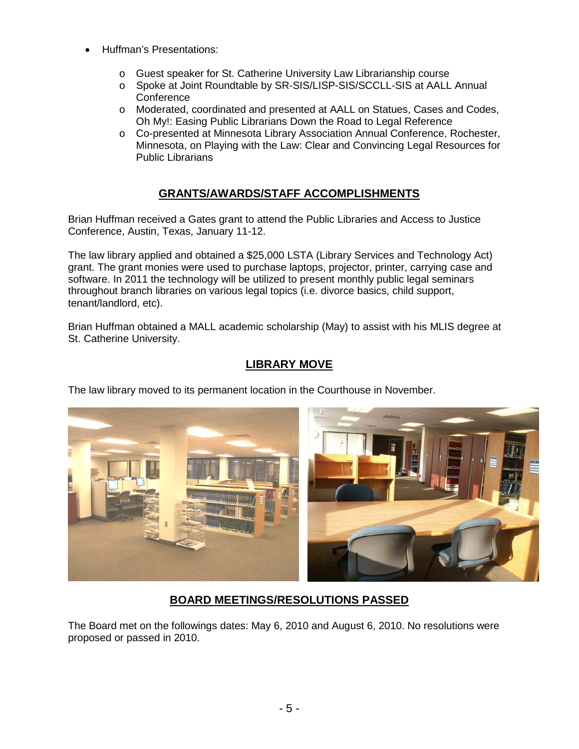- Huffman's Presentations:
	- o Guest speaker for St. Catherine University Law Librarianship course
	- o Spoke at Joint Roundtable by SR-SIS/LISP-SIS/SCCLL-SIS at AALL Annual Conference
	- o Moderated, coordinated and presented at AALL on Statues, Cases and Codes, Oh My!: Easing Public Librarians Down the Road to Legal Reference
	- o Co-presented at Minnesota Library Association Annual Conference, Rochester, Minnesota, on Playing with the Law: Clear and Convincing Legal Resources for Public Librarians

# **GRANTS/AWARDS/STAFF ACCOMPLISHMENTS**

Brian Huffman received a Gates grant to attend the Public Libraries and Access to Justice Conference, Austin, Texas, January 11-12.

The law library applied and obtained a \$25,000 LSTA (Library Services and Technology Act) grant. The grant monies were used to purchase laptops, projector, printer, carrying case and software. In 2011 the technology will be utilized to present monthly public legal seminars throughout branch libraries on various legal topics (i.e. divorce basics, child support, tenant/landlord, etc).

Brian Huffman obtained a MALL academic scholarship (May) to assist with his MLIS degree at St. Catherine University.

# **LIBRARY MOVE**

The law library moved to its permanent location in the Courthouse in November.



# **BOARD MEETINGS/RESOLUTIONS PASSED**

The Board met on the followings dates: May 6, 2010 and August 6, 2010. No resolutions were proposed or passed in 2010.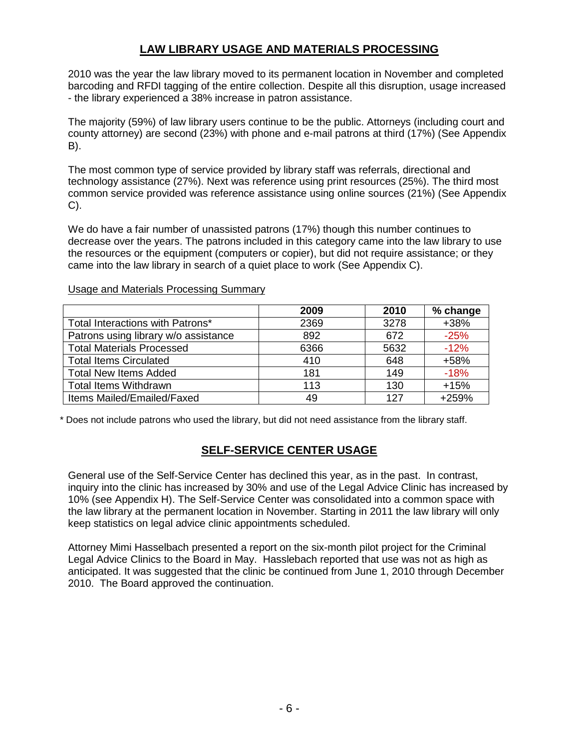### **LAW LIBRARY USAGE AND MATERIALS PROCESSING**

2010 was the year the law library moved to its permanent location in November and completed barcoding and RFDI tagging of the entire collection. Despite all this disruption, usage increased - the library experienced a 38% increase in patron assistance.

The majority (59%) of law library users continue to be the public. Attorneys (including court and county attorney) are second (23%) with phone and e-mail patrons at third (17%) (See Appendix B).

The most common type of service provided by library staff was referrals, directional and technology assistance (27%). Next was reference using print resources (25%). The third most common service provided was reference assistance using online sources (21%) (See Appendix C).

We do have a fair number of unassisted patrons (17%) though this number continues to decrease over the years. The patrons included in this category came into the law library to use the resources or the equipment (computers or copier), but did not require assistance; or they came into the law library in search of a quiet place to work (See Appendix C).

### Usage and Materials Processing Summary

|                                      | 2009 | 2010 | % change |
|--------------------------------------|------|------|----------|
| Total Interactions with Patrons*     | 2369 | 3278 | $+38%$   |
| Patrons using library w/o assistance | 892  | 672  | $-25%$   |
| <b>Total Materials Processed</b>     | 6366 | 5632 | $-12%$   |
| <b>Total Items Circulated</b>        | 410  | 648  | +58%     |
| <b>Total New Items Added</b>         | 181  | 149  | $-18%$   |
| <b>Total Items Withdrawn</b>         | 113  | 130  | $+15%$   |
| Items Mailed/Emailed/Faxed           | 49   | 127  | $+259%$  |

\* Does not include patrons who used the library, but did not need assistance from the library staff.

### **SELF-SERVICE CENTER USAGE**

General use of the Self-Service Center has declined this year, as in the past. In contrast, inquiry into the clinic has increased by 30% and use of the Legal Advice Clinic has increased by 10% (see Appendix H). The Self-Service Center was consolidated into a common space with the law library at the permanent location in November. Starting in 2011 the law library will only keep statistics on legal advice clinic appointments scheduled.

Attorney Mimi Hasselbach presented a report on the six-month pilot project for the Criminal Legal Advice Clinics to the Board in May. Hasslebach reported that use was not as high as anticipated. It was suggested that the clinic be continued from June 1, 2010 through December 2010. The Board approved the continuation.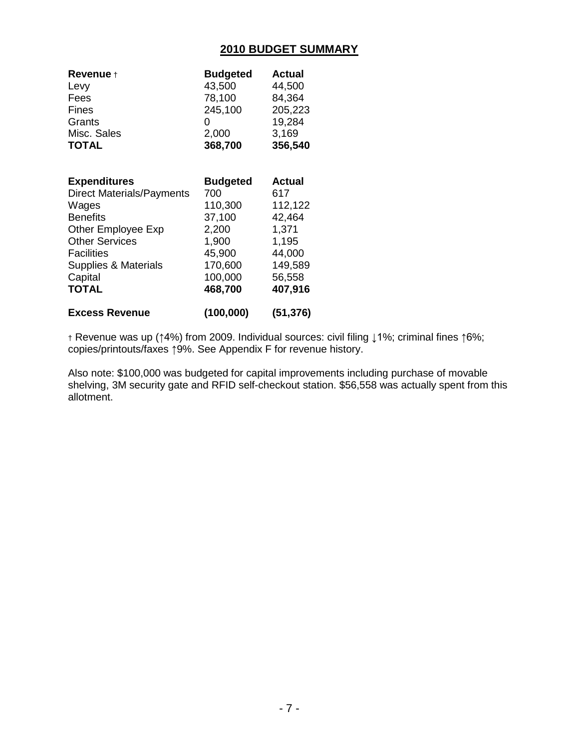### **2010 BUDGET SUMMARY**

| <b>Revenue</b> †          | <b>Budgeted</b> | Actual    |
|---------------------------|-----------------|-----------|
| Levy                      | 43,500          | 44,500    |
| Fees                      | 78,100          | 84,364    |
| Fines                     | 245,100         | 205,223   |
| Grants                    | 0               | 19,284    |
| Misc. Sales               | 2,000           | 3,169     |
| <b>TOTAL</b>              | 368,700         | 356,540   |
| <b>Expenditures</b>       | <b>Budgeted</b> | Actual    |
| Direct Materials/Payments | 700             | 617       |
| Wages                     | 110,300         | 112,122   |
| <b>Benefits</b>           | 37,100          | 42,464    |
| <b>Other Employee Exp</b> | 2,200           | 1,371     |
| <b>Other Services</b>     | 1,900           | 1,195     |
| <b>Facilities</b>         | 45,900          | 44,000    |
| Supplies & Materials      | 170,600         | 149,589   |
| Capital                   | 100,000         | 56,558    |
| <b>TOTAL</b>              | 468,700         | 407,916   |
| <b>Excess Revenue</b>     | (100,000)       | (51, 376) |

† Revenue was up (↑4%) from 2009. Individual sources: civil filing ↓1%; criminal fines ↑6%; copies/printouts/faxes ↑9%. See Appendix F for revenue history.

Also note: \$100,000 was budgeted for capital improvements including purchase of movable shelving, 3M security gate and RFID self-checkout station. \$56,558 was actually spent from this allotment.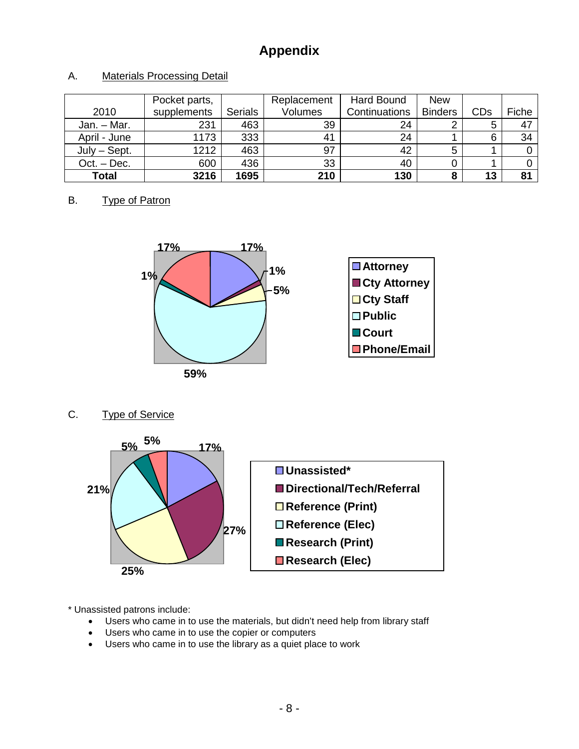# **Appendix**

### A. Materials Processing Detail

|                | Pocket parts, |                | Replacement | Hard Bound    | <b>New</b>     |     |       |
|----------------|---------------|----------------|-------------|---------------|----------------|-----|-------|
| 2010           | supplements   | <b>Serials</b> | Volumes     | Continuations | <b>Binders</b> | CDs | Fiche |
| Jan. - Mar.    | 231           | 463            | 39          | 24            |                | 5   | 47    |
| April - June   | 1173          | 333            | 41          | 24            |                | 6   | 34    |
| $July - Sept.$ | 1212          | 463            | 97          | 42            | 5              |     |       |
| Oct. – Dec.    | 600           | 436            | 33          | 40            |                |     |       |
| Total          | 3216          | 1695           | 210         | 130           |                | 13  | 81    |

#### B. Type of Patron



### C. Type of Service



\* Unassisted patrons include:

- Users who came in to use the materials, but didn't need help from library staff
- Users who came in to use the copier or computers
- Users who came in to use the library as a quiet place to work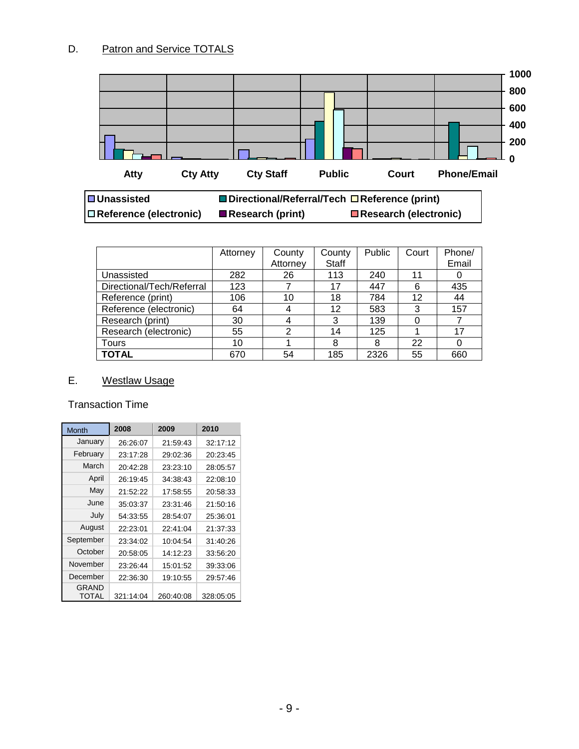

|                           | Attorney | County         | County       | Public | Court | Phone/ |
|---------------------------|----------|----------------|--------------|--------|-------|--------|
|                           |          | Attorney       | <b>Staff</b> |        |       | Email  |
| Unassisted                | 282      | 26             | 113          | 240    | 11    |        |
| Directional/Tech/Referral | 123      |                | 17           | 447    | 6     | 435    |
| Reference (print)         | 106      | 10             | 18           | 784    | 12    | 44     |
| Reference (electronic)    | 64       |                | 12           | 583    | 3     | 157    |
| Research (print)          | 30       |                | 3            | 139    | 0     | 7      |
| Research (electronic)     | 55       | $\overline{2}$ | 14           | 125    |       | 17     |
| Tours                     | 10       |                | 8            | 8      | 22    | 0      |
| <b>TOTAL</b>              | 670      | 54             | 185          | 2326   | 55    | 660    |

### E. Westlaw Usage

### Transaction Time

| Month                        | 2008      | 2009      | 2010      |
|------------------------------|-----------|-----------|-----------|
| January                      | 26:26:07  | 21:59:43  | 32:17:12  |
| February                     | 23:17:28  | 29:02:36  | 20:23:45  |
| March                        | 20:42:28  | 23:23:10  | 28:05:57  |
| April                        | 26:19:45  | 34:38:43  | 22:08:10  |
| May                          | 21:52:22  | 17:58:55  | 20:58:33  |
| June                         | 35:03:37  | 23:31:46  | 21:50:16  |
| July                         | 54:33:55  | 28:54:07  | 25:36:01  |
| August                       | 22:23:01  | 22:41:04  | 21:37:33  |
| September                    | 23:34:02  | 10:04:54  | 31:40:26  |
| October                      | 20:58:05  | 14:12:23  | 33:56:20  |
| November                     | 23:26:44  | 15:01:52  | 39:33:06  |
| December                     | 22:36:30  | 19:10:55  | 29:57:46  |
| <b>GRAND</b><br><b>TOTAL</b> | 321:14:04 | 260.40.08 | 328.05.05 |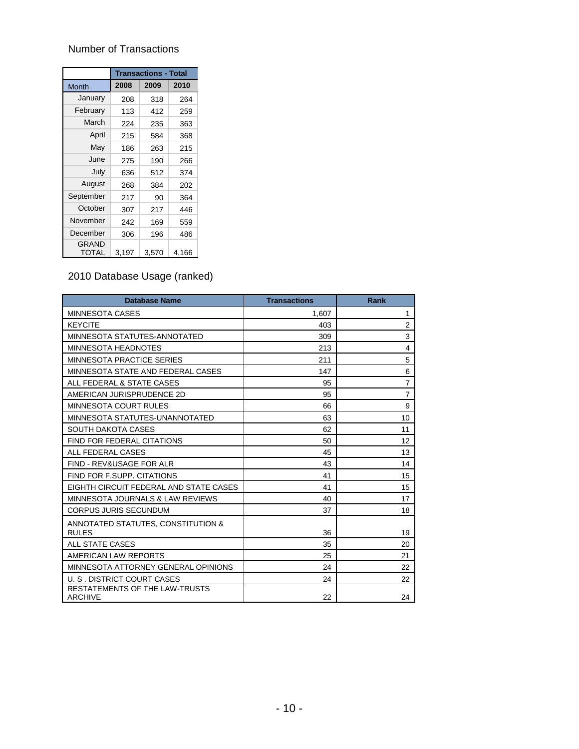# Number of Transactions

|                       | <b>Transactions - Total</b> |       |       |  |  |
|-----------------------|-----------------------------|-------|-------|--|--|
| Month                 | 2008                        | 2009  | 2010  |  |  |
| January               | 208                         | 318   | 264   |  |  |
| February              | 113                         | 412   | 259   |  |  |
| March                 | 224                         | 235   | 363   |  |  |
| April                 | 215                         | 584   | 368   |  |  |
| May                   | 186                         | 263   | 215   |  |  |
| June                  | 275                         | 190   | 266   |  |  |
| July                  | 636                         | 512   | 374   |  |  |
| August                | 268                         | 384   | 202   |  |  |
| September             | 217                         | 90    | 364   |  |  |
| October               | 307                         | 217   | 446   |  |  |
| November              | 242                         | 169   | 559   |  |  |
| December              | 306                         | 196   | 486   |  |  |
| <b>GRAND</b><br>TOTAL | 3,197                       | 3,570 | 4,166 |  |  |

### 2010 Database Usage (ranked)

| <b>Database Name</b>                                    | <b>Transactions</b> | Rank           |
|---------------------------------------------------------|---------------------|----------------|
| <b>MINNESOTA CASES</b>                                  | 1,607               | $\mathbf{1}$   |
| <b>KEYCITE</b>                                          | 403                 | $\overline{2}$ |
| MINNESOTA STATUTES-ANNOTATED                            | 309                 | 3              |
| <b>MINNESOTA HEADNOTES</b>                              | 213                 | $\overline{4}$ |
| <b>MINNESOTA PRACTICE SERIES</b>                        | 211                 | 5              |
| MINNESOTA STATE AND FEDERAL CASES                       | 147                 | 6              |
| ALL FEDERAL & STATE CASES                               | 95                  | $\overline{7}$ |
| AMERICAN JURISPRUDENCE 2D                               | 95                  | $\overline{7}$ |
| MINNESOTA COURT RULES                                   | 66                  | 9              |
| MINNESOTA STATUTES-UNANNOTATED                          | 63                  | 10             |
| <b>SOUTH DAKOTA CASES</b>                               | 62                  | 11             |
| <b>FIND FOR FEDERAL CITATIONS</b>                       | 50                  | 12             |
| ALL FEDERAL CASES                                       | 45                  | 13             |
| FIND - REV&USAGE FOR ALR                                | 43                  | 14             |
| <b>FIND FOR F.SUPP. CITATIONS</b>                       | 41                  | 15             |
| EIGHTH CIRCUIT FEDERAL AND STATE CASES                  | 41                  | 15             |
| MINNESOTA JOURNALS & LAW REVIEWS                        | 40                  | 17             |
| <b>CORPUS JURIS SECUNDUM</b>                            | 37                  | 18             |
| ANNOTATED STATUTES, CONSTITUTION &                      |                     |                |
| <b>RULES</b>                                            | 36                  | 19             |
| <b>ALL STATE CASES</b>                                  | 35                  | 20             |
| AMERICAN LAW REPORTS                                    | 25                  | 21             |
| MINNESOTA ATTORNEY GENERAL OPINIONS                     | 24                  | 22             |
| U. S. DISTRICT COURT CASES                              | 24                  | 22             |
| <b>RESTATEMENTS OF THE LAW-TRUSTS</b><br><b>ARCHIVE</b> | 22                  | 24             |